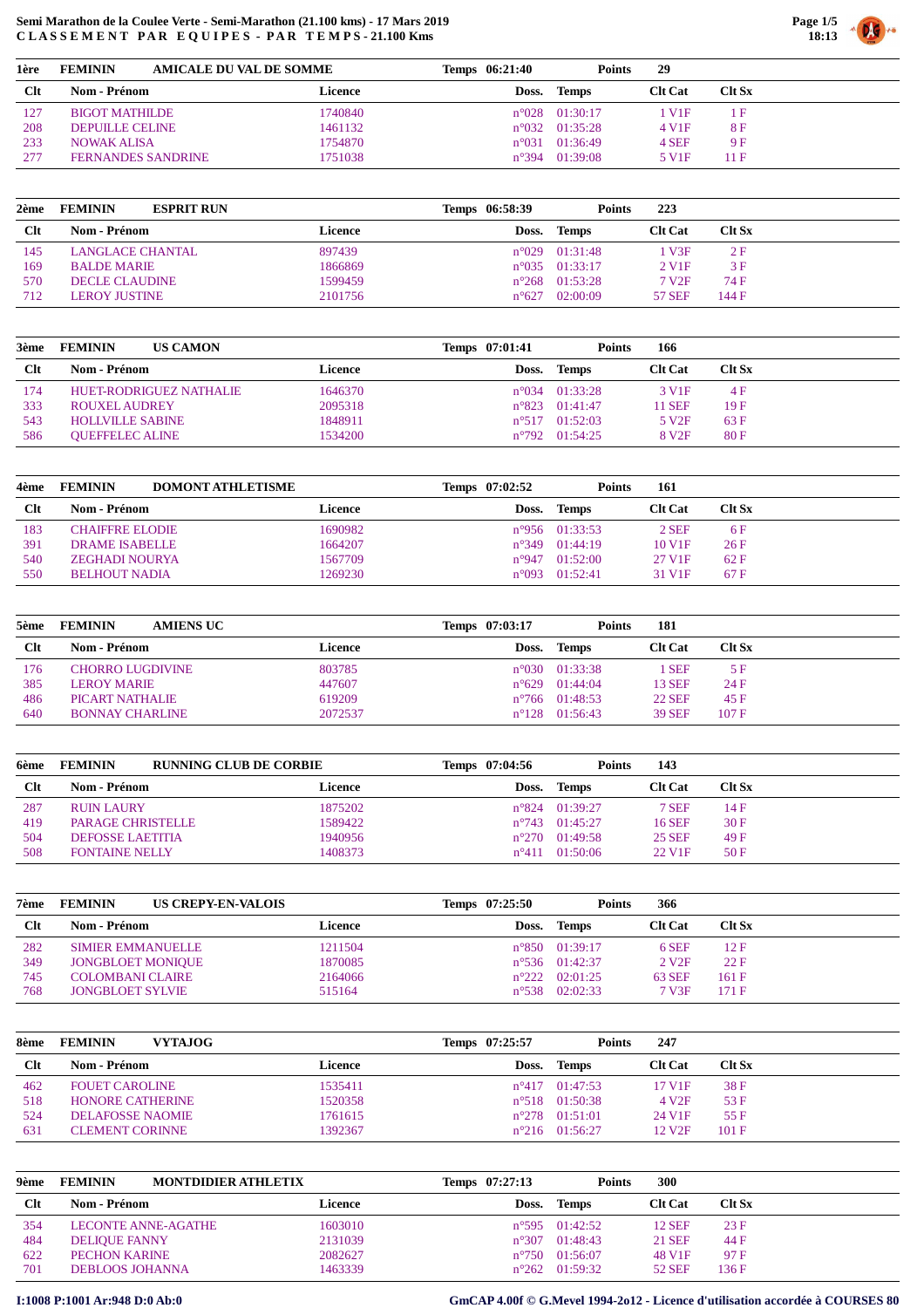

| 1ère       | <b>AMICALE DU VAL DE SOMME</b><br><b>FEMININ</b> |         | Temps 06:21:40 | <b>Points</b>           | 29                 |               |  |
|------------|--------------------------------------------------|---------|----------------|-------------------------|--------------------|---------------|--|
| <b>Clt</b> | Nom - Prénom                                     | Licence | Doss.          | Temps                   | <b>Clt Cat</b>     | <b>Clt Sx</b> |  |
| 127        | BIGOT MATHILDE                                   | 1740840 |                | $n^{\circ}028$ 01:30:17 | V1F                |               |  |
| 208        | <b>DEPUILLE CELINE</b>                           | 1461132 |                | $n^{\circ}032$ 01:35:28 | 4 V <sub>1</sub> F | 8F            |  |
| 233        | <b>NOWAK ALISA</b>                               | 1754870 | $n^{\circ}031$ | 01:36:49                | 4 SEF              | 9 F           |  |
| 277        | <b>FERNANDES SANDRINE</b>                        | 1751038 |                | $n^{\circ}394$ 01:39:08 | 5 V <sub>1</sub> F | 11 F          |  |

| 2ème       | <b>FEMININ</b><br><b>ESPRIT RUN</b> |         | Temps 06:58:39 | <b>Points</b>           | 223                 |               |
|------------|-------------------------------------|---------|----------------|-------------------------|---------------------|---------------|
| <b>Clt</b> | Nom - Prénom                        | Licence | Doss.          | <b>Temps</b>            | <b>Clt Cat</b>      | <b>Clt Sx</b> |
| 145        | LANGLACE CHANTAL                    | 897439  |                | $n^{\circ}029$ 01:31:48 | 1 V3F               | 2F            |
| 169        | <b>BALDE MARIE</b>                  | 1866869 | $n^{\circ}035$ | 01:33:17                | $2$ V <sub>1F</sub> | 3F            |
| 570        | DECLE CLAUDINE                      | 1599459 | $n^{\circ}268$ | 01:53:28                | 7 V <sub>2F</sub>   | 74 F          |
| 712        | <b>LEROY JUSTINE</b>                | 2101756 | $n^{\circ}627$ | 02:00:09                | <b>57 SEF</b>       | 144 F         |

| 3ème       | <b>FEMININ</b><br><b>US CAMON</b> |         | Temps 07:01:41 | <b>Points</b>            | 166                |               |
|------------|-----------------------------------|---------|----------------|--------------------------|--------------------|---------------|
| <b>Clt</b> | Nom - Prénom                      | Licence | Doss.          | Temps                    | <b>Clt Cat</b>     | <b>Clt Sx</b> |
| 174        | HUET-RODRIGUEZ NATHALIE           | 1646370 |                | $n^{\circ}$ 034 01:33:28 | 3 V <sub>1</sub> F | 4 F           |
| 333        | ROUXEL AUDREY                     | 2095318 |                | $n^{\circ}823$ 01:41:47  | 11 SEF             | 19F           |
| 543        | <b>HOLLVILLE SABINE</b>           | 1848911 |                | $n^{\circ}517$ 01:52:03  | 5 V <sub>2F</sub>  | 63 F          |
| 586        | <b>OUEFFELEC ALINE</b>            | 1534200 |                | $n^{\circ}792$ 01:54:25  | 8 V <sub>2F</sub>  | 80F           |

| 4ème       | <b>FEMININ</b><br><b>DOMONT ATHLETISME</b> |         | Temps 07:02:52  | <b>Points</b>           | 161                |           |
|------------|--------------------------------------------|---------|-----------------|-------------------------|--------------------|-----------|
| <b>Clt</b> | Nom - Prénom                               | Licence | Doss.           | <b>Temps</b>            | <b>Clt Cat</b>     | $C$ It Sx |
| 183        | <b>CHAIFFRE ELODIE</b>                     | 1690982 |                 | $n^{\circ}956$ 01:33:53 | $2$ SEF            | 6 F       |
| 391        | DRAME ISABELLE                             | 1664207 | $n^{\circ}349$  | 01:44:19                | 10 V <sub>1F</sub> | 26F       |
| 540        | <b>ZEGHADI NOURYA</b>                      | 1567709 |                 | $n^{\circ}947$ 01:52:00 | 27 V1F             | 62 F      |
| 550        | BELHOUT NADIA                              | 1269230 | $n^{\circ}$ 093 | 01:52:41                | 31 V <sub>1F</sub> | 67F       |

| 5ème | <b>FEMININ</b><br><b>AMIENS UC</b> |         | Temps 07:03:17 | <b>Points</b>           | 181            |               |
|------|------------------------------------|---------|----------------|-------------------------|----------------|---------------|
| Clt  | Nom - Prénom                       | Licence | Doss.          | Temps                   | <b>Clt Cat</b> | <b>Clt Sx</b> |
| 176  | <b>CHORRO LUGDIVINE</b>            | 803785  |                | $n^{\circ}030$ 01:33:38 | <b>SEF</b>     | 5 F           |
| 385  | <b>LEROY MARIE</b>                 | 447607  |                | $n^{\circ}629$ 01:44:04 | 13 SEF         | 24 F          |
| 486  | PICART NATHALIE                    | 619209  |                | $n^{\circ}766$ 01:48:53 | <b>22 SEF</b>  | 45 F          |
| 640  | <b>BONNAY CHARLINE</b>             | 2072537 |                | $n^{\circ}128$ 01:56:43 | <b>39 SEF</b>  | 107 F         |

| 6ème   | <b>RUNNING CLUB DE CORBIE</b><br><b>FEMININ</b> |         | Temps 07:04:56 | <b>Points</b>           | 143                |               |
|--------|-------------------------------------------------|---------|----------------|-------------------------|--------------------|---------------|
| $Cl$ t | <b>Nom - Prénom</b>                             | Licence | Doss.          | Temps                   | <b>Clt Cat</b>     | <b>Clt Sx</b> |
| 287    | <b>RUIN LAURY</b>                               | 1875202 |                | $n^{\circ}824$ 01:39:27 | 7 SEF              | 14 F          |
| 419    | <b>PARAGE CHRISTELLE</b>                        | 1589422 |                | $n^{\circ}743$ 01:45:27 | <b>16 SEF</b>      | 30F           |
| 504    | <b>DEFOSSE LAETITIA</b>                         | 1940956 |                | $n^{\circ}270$ 01:49:58 | <b>25 SEF</b>      | 49 F          |
| 508    | <b>FONTAINE NELLY</b>                           | 1408373 |                | $n^{\circ}411$ 01:50:06 | 22 V <sub>1F</sub> | 50F           |

| 7ème | <b>FEMININ</b>           | US CREPY-EN-VALOIS | Temps 07:25:50 | <b>Points</b>           | 366            |           |
|------|--------------------------|--------------------|----------------|-------------------------|----------------|-----------|
| Clt  | Nom - Prénom             | Licence            |                | Doss. Temps             | <b>Clt Cat</b> | $C$ lt Sx |
| 282  | <b>SIMIER EMMANUELLE</b> | 1211504            |                | $n^{\circ}850$ 01:39:17 | 6 SEF          | 12 F      |
| 349  | <b>JONGBLOET MONIQUE</b> | 1870085            |                | $n^{\circ}536$ 01:42:37 | 2 V2F          | 22 F      |
| 745  | COLOMBANI CLAIRE         | 2164066            | $n^{\circ}222$ | 02:01:25                | <b>63 SEF</b>  | 161 F     |
| 768  | <b>JONGBLOET SYLVIE</b>  | 515164             |                | $n^{\circ}538$ 02:02:33 | 7 V3F          | 171F      |

| <b>FEMININ</b><br><b>VYTAJOG</b> |         | Temps 07:25:57 | 247                                                                                                               |               |
|----------------------------------|---------|----------------|-------------------------------------------------------------------------------------------------------------------|---------------|
| <b>Nom - Prénom</b>              | Licence | Doss.          | <b>Clt Cat</b>                                                                                                    | $C$ It Sx     |
| <b>FOUET CAROLINE</b>            | 1535411 |                | 17 V1F                                                                                                            | 38 F          |
| HONORE CATHERINE                 | 1520358 |                | 4 V <sub>2F</sub>                                                                                                 | 53 F          |
| <b>DELAFOSSE NAOMIE</b>          | 1761615 |                | 24 V <sub>1F</sub>                                                                                                | 55 F          |
| <b>CLEMENT CORINNE</b>           | 1392367 |                | 12 V <sub>2F</sub>                                                                                                | 101 F         |
|                                  |         |                | Temps<br>$n^{\circ}417$ 01:47:53<br>$n^{\circ}518$ 01:50:38<br>$n^{\circ}278$ 01:51:01<br>$n^{\circ}216$ 01:56:27 | <b>Points</b> |

| 9ème   | <b>FEMININ</b>             | <b>MONTDIDIER ATHLETIX</b> | Temps 07:27:13 | <b>Points</b>           | <b>300</b>     |               |
|--------|----------------------------|----------------------------|----------------|-------------------------|----------------|---------------|
| $Cl$ t | <b>Nom - Prénom</b>        | Licence                    | Doss.          | Temps                   | <b>Clt Cat</b> | <b>Clt Sx</b> |
| 354    | <b>LECONTE ANNE-AGATHE</b> | 1603010                    |                | $n^{\circ}595$ 01:42:52 | 12 SEF         | 23 F          |
| 484    | <b>DELIQUE FANNY</b>       | 2131039                    |                | $n^{\circ}307$ 01:48:43 | <b>21 SEF</b>  | 44 F          |
| 622    | PECHON KARINE              | 2082627                    |                | $n^{\circ}750$ 01:56:07 | 48 V1F         | 97 F          |
| 701    | <b>DEBLOOS JOHANNA</b>     | 1463339                    |                | $n^{\circ}262$ 01:59:32 | <b>52 SEF</b>  | 136 F         |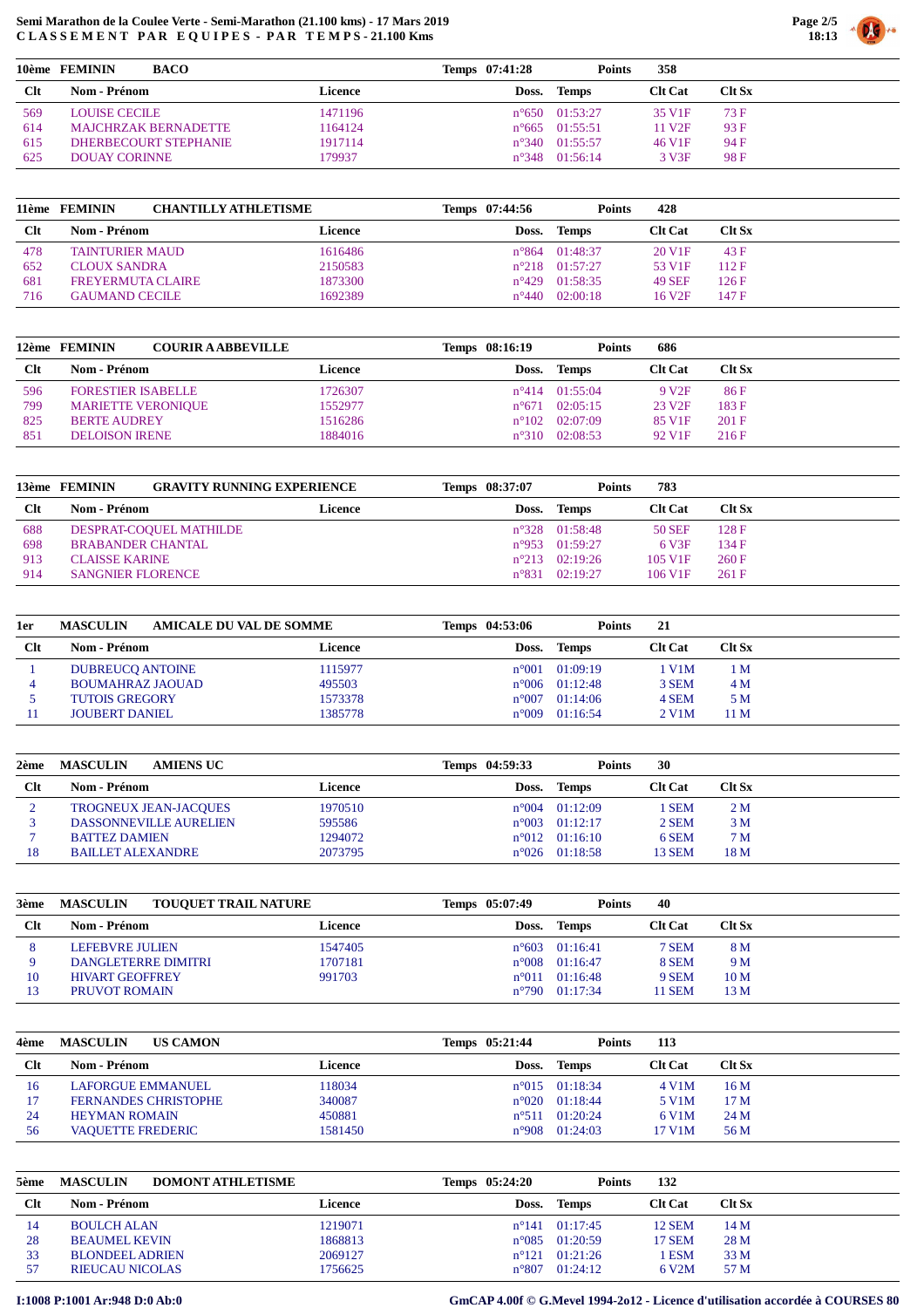

|            | BACO<br>10ème FEMININ       |                | Temps 07:41:28 | <b>Points</b>           | 358                |               |
|------------|-----------------------------|----------------|----------------|-------------------------|--------------------|---------------|
| <b>Clt</b> | <b>Nom - Prénom</b>         | <b>Licence</b> |                | Doss. Temps             | <b>Clt Cat</b>     | <b>Clt Sx</b> |
| 569        | LOUISE CECILE               | 1471196        |                | $n^{\circ}650$ 01:53:27 | 35 V <sub>1F</sub> | 73 F          |
| 614        | <b>MAJCHRZAK BERNADETTE</b> | 1164124        |                | $n^{\circ}665$ 01:55:51 | 11 V <sub>2F</sub> | 93 F          |
| 615        | DHERBECOURT STEPHANIE       | 1917114        |                | $n^{\circ}340$ 01:55:57 | 46 V <sub>1F</sub> | 94 F          |
| 625        | <b>DOUAY CORINNE</b>        | 179937         |                | $n^{\circ}348$ 01:56:14 | 3 V3F              | 98F           |

| 11ème      | <b>CHANTILLY ATHLETISME</b><br><b>FEMININ</b> |         | Temps 07:44:56 | Points                  | 428                |               |
|------------|-----------------------------------------------|---------|----------------|-------------------------|--------------------|---------------|
| <b>Clt</b> | Nom - Prénom                                  | Licence | Doss.          | Temps                   | <b>Clt Cat</b>     | <b>Clt Sx</b> |
| 478        | <b>TAINTURIER MAUD</b>                        | 1616486 |                | $n^{\circ}864$ 01:48:37 | 20 V <sub>1F</sub> | 43 F          |
| 652        | <b>CLOUX SANDRA</b>                           | 2150583 |                | $n^{\circ}218$ 01:57:27 | 53 V <sub>1F</sub> | 112F          |
| 681        | <b>FREYERMUTA CLAIRE</b>                      | 1873300 |                | $n^{\circ}429$ 01:58:35 | <b>49 SEF</b>      | 126 F         |
| 716        | <b>GAUMAND CECILE</b>                         | 1692389 | $n^{\circ}440$ | 02:00:18                | 16 V <sub>2F</sub> | 147F          |

|     | 12ème FEMININ<br><b>COURIR A ABBEVILLE</b> |         | Temps 08:16:19 | <b>Points</b>           | 686                |                 |
|-----|--------------------------------------------|---------|----------------|-------------------------|--------------------|-----------------|
| Clt | Nom - Prénom                               | Licence | Doss.          | Temps                   | <b>Clt Cat</b>     | <b>Clt Sx</b>   |
| 596 | <b>FORESTIER ISABELLE</b>                  | 1726307 |                | $n^{\circ}414$ 01:55:04 | 9 V <sub>2F</sub>  | 86 F            |
| 799 | <b>MARIETTE VERONIQUE</b>                  | 1552977 |                | $n^{\circ}671$ 02:05:15 | 23 V <sub>2F</sub> | 183 F           |
| 825 | <b>BERTE AUDREY</b>                        | 1516286 |                | $n^{\circ}102$ 02:07:09 | 85 V <sub>1F</sub> | $201 \text{ F}$ |
| 851 | <b>DELOISON IRENE</b>                      | 1884016 | $n^{\circ}310$ | 02:08:53                | 92 V <sub>1F</sub> | 216F            |

|            | 13ème FEMININ            | <b>GRAVITY RUNNING EXPERIENCE</b> | Temps 08:37:07 | Points                  | 783                    |               |
|------------|--------------------------|-----------------------------------|----------------|-------------------------|------------------------|---------------|
| <b>Clt</b> | <b>Nom - Prénom</b>      | Licence                           | Doss.          | Temps                   | <b>Clt Cat</b>         | <b>Clt Sx</b> |
| 688        | DESPRAT-COOUEL MATHILDE  |                                   |                | $n^{\circ}328$ 01:58:48 | 50 SEF                 | 128F          |
| 698        | <b>BRABANDER CHANTAL</b> |                                   |                | $n^{\circ}953$ 01:59:27 | 6 V3F                  | 134F          |
| 913        | <b>CLAISSE KARINE</b>    |                                   |                | $n^{\circ}213$ 02:19:26 | $105 \text{ V1F}$      | 260 F         |
| 914        | <b>SANGNIER FLORENCE</b> |                                   | $n^{\circ}831$ | 02:19:27                | $106$ V <sub>1</sub> F | 261 F         |

| 1er   | <b>AMICALE DU VAL DE SOMME</b><br><b>MASCULIN</b> |         | Temps 04:53:06 | <b>Points</b>           | 21             |           |
|-------|---------------------------------------------------|---------|----------------|-------------------------|----------------|-----------|
| $Clt$ | Nom - Prénom                                      | Licence | Doss.          | Temps                   | <b>Clt Cat</b> | $C$ lt Sx |
|       | <b>DUBREUCO ANTOINE</b>                           | 1115977 | $n^{\circ}001$ | 01:09:19                | 1 V1M          | 1 M       |
|       | <b>BOUMAHRAZ JAOUAD</b>                           | 495503  |                | $n^{\circ}006$ 01:12:48 | 3 SEM          | 4M        |
|       | <b>TUTOIS GREGORY</b>                             | 1573378 | $n^{\circ}007$ | 01:14:06                | 4 SEM          | 5 M       |
|       | <b>JOUBERT DANIEL</b>                             | 1385778 | $n^{\circ}009$ | 01:16:54                | 2 V1M          | 11 M      |

| 2ème   | <b>MASCULIN</b><br>AMIENS UC |         | Temps 04:59:33 | Points                  | 30             |               |
|--------|------------------------------|---------|----------------|-------------------------|----------------|---------------|
| $Cl$ t | Nom - Prénom                 | Licence | Doss.          | Temps                   | <b>Clt Cat</b> | <b>Clt Sx</b> |
|        | <b>TROGNEUX JEAN-JACQUES</b> | 1970510 |                | $n^{\circ}004$ 01:12:09 | 1 SEM          | 2 M           |
|        | DASSONNEVILLE AURELIEN       | 595586  | $n^{\circ}003$ | 01:12:17                | 2 SEM          | 3 M           |
|        | <b>BATTEZ DAMIEN</b>         | 1294072 |                | $n^{\circ}012$ 01:16:10 | 6 SEM          | 7 M           |
| 18     | <b>BAILLET ALEXANDRE</b>     | 2073795 |                | $n^{\circ}026$ 01:18:58 | 13 SEM         | 18 M          |
|        |                              |         |                |                         |                |               |

| 3ème   | <b>MASCULIN</b><br><b>TOUQUET TRAIL NATURE</b> |         | Temps 05:07:49 | <b>Points</b>           | 40             |                 |
|--------|------------------------------------------------|---------|----------------|-------------------------|----------------|-----------------|
| $Cl$ t | Nom - Prénom                                   | Licence | Doss.          | <b>Temps</b>            | <b>Clt Cat</b> | $C$ It Sx       |
| 8      | LEFEBVRE JULIEN                                | 1547405 |                | $n^{\circ}603$ 01:16:41 | 7 SEM          | 8 M             |
|        | DANGLETERRE DIMITRI                            | 1707181 |                | $n^{\circ}008$ 01:16:47 | 8 SEM          | 9 M             |
| 10     | <b>HIVART GEOFFREY</b>                         | 991703  | $n^{\circ}011$ | 01:16:48                | 9 SEM          | 10 <sub>M</sub> |
|        | PRUVOT ROMAIN                                  |         |                | $n^{\circ}790$ 01:17:34 | 11 SEM         | 13 M            |
|        |                                                |         |                |                         |                |                 |

| 4ème   | <b>MASCULIN</b><br><b>US CAMON</b> |         | Temps 05:21:44 | <b>Points</b>           | 113            |           |
|--------|------------------------------------|---------|----------------|-------------------------|----------------|-----------|
| $Cl$ t | Nom - Prénom                       | Licence | Doss.          | Temps                   | <b>Clt Cat</b> | $C$ It Sx |
| 16     | LAFORGUE EMMANUEL                  | 118034  |                | $n^{\circ}015$ 01:18:34 | 4 V 1 M        | 16 M      |
|        | <b>FERNANDES CHRISTOPHE</b>        | 340087  | $n^{\circ}020$ | 01:18:44                | 5 V1M          | 17 M      |
| 24     | <b>HEYMAN ROMAIN</b>               | 450881  | $n^{\circ}511$ | 01:20:24                | 6 V1M          | 24 M      |
| 56     | <b>VAQUETTE FREDERIC</b>           | 1581450 |                | $n^{\circ}908$ 01:24:03 | 17 V1M         | 56 M      |
|        |                                    |         |                |                         |                |           |

| 5ème       | <b>MASCULIN</b><br><b>DOMONT ATHLETISME</b> |         | Temps 05:24:20 |                         | 132<br><b>Points</b> |               |
|------------|---------------------------------------------|---------|----------------|-------------------------|----------------------|---------------|
| <b>Clt</b> | <b>Nom - Prénom</b>                         | Licence |                | Doss. Temps             | <b>Clt Cat</b>       | <b>Clt Sx</b> |
| 14         | <b>BOULCH ALAN</b>                          | 1219071 |                | $n^{\circ}141$ 01:17:45 | 12 SEM               | 14 M          |
| 28         | <b>BEAUMEL KEVIN</b>                        | 1868813 |                | $n^{\circ}085$ 01:20:59 | 17 SEM               | 28 M          |
| 33         | <b>BLONDEEL ADRIEN</b>                      | 2069127 |                | $n^{\circ}121$ 01:21:26 | l ESM                | 33 M          |
|            | <b>RIEUCAU NICOLAS</b>                      | 1756625 |                | $n^{\circ}807$ 01:24:12 | 6 V <sub>2</sub> M   | 57 M          |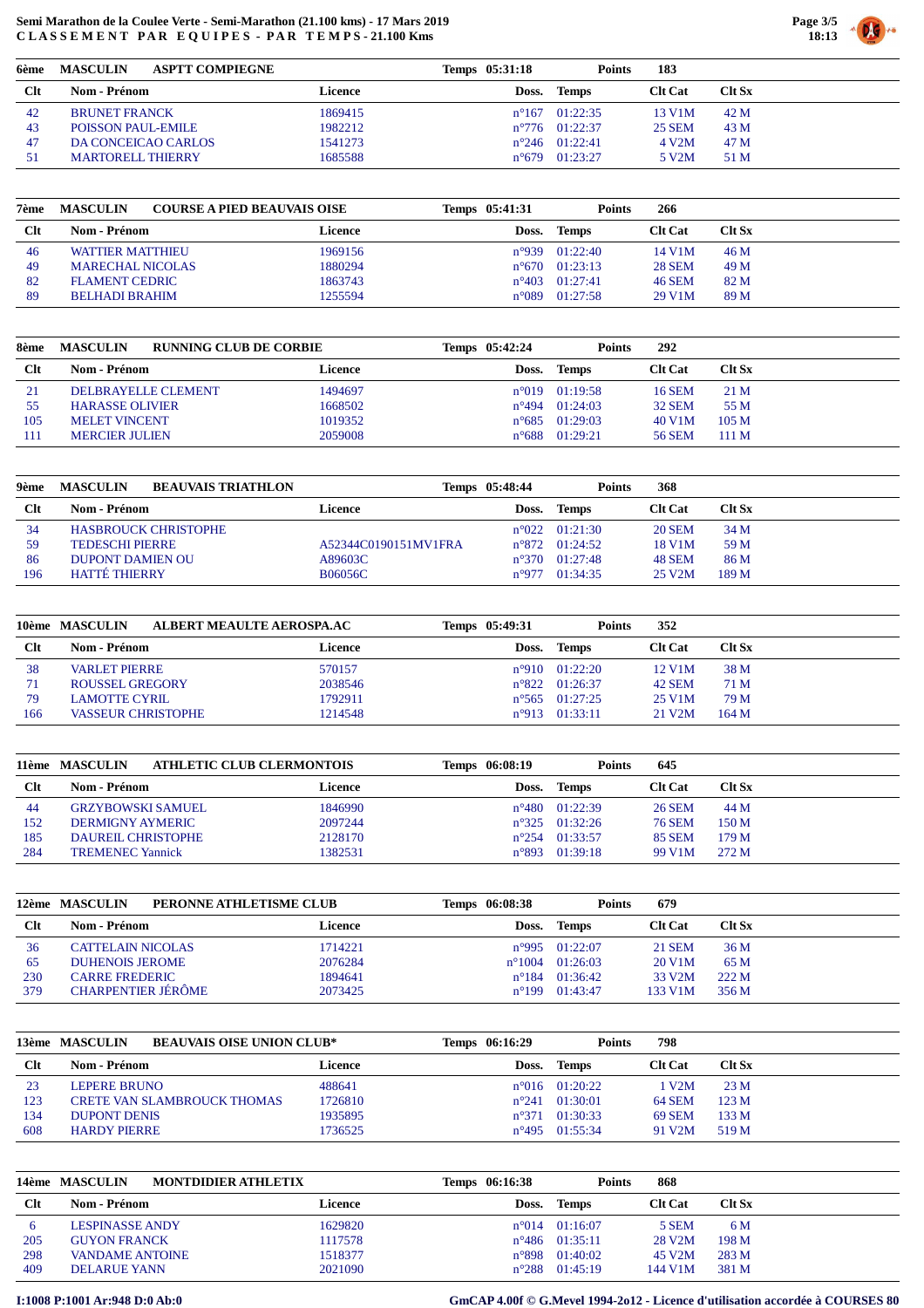

| 6ème | <b>MASCULIN</b><br><b>ASPTT COMPIEGNE</b> |         | Temps 05:31:18 | Points                  | 183                |               |
|------|-------------------------------------------|---------|----------------|-------------------------|--------------------|---------------|
| Clt  | Nom - Prénom                              | Licence | Doss.          | Temps                   | <b>Clt Cat</b>     | <b>Clt Sx</b> |
| 42   | <b>BRUNET FRANCK</b>                      | 1869415 |                | $n^{\circ}167$ 01:22:35 | 13 V1M             | 42 M          |
| 43   | POISSON PAUL-EMILE                        | 1982212 |                | $n^{\circ}776$ 01:22:37 | <b>25 SEM</b>      | 43 M          |
| 47   | DA CONCEICAO CARLOS                       | 1541273 |                | $n^{\circ}246$ 01:22:41 | 4 V <sub>2</sub> M | 47 M          |
| 51   | <b>MARTORELL THIERRY</b>                  | 1685588 | $n^{\circ}679$ | 01:23:27                | 5 V2M              | 51 M          |

| 7ème   | <b>COURSE A PIED BEAUVAIS OISE</b><br><b>MASCULIN</b> |         | Temps 05:41:31 | Points                    | 266            |               |
|--------|-------------------------------------------------------|---------|----------------|---------------------------|----------------|---------------|
| $Cl$ t | Nom - Prénom                                          | Licence | Doss.          | <b>Temps</b>              | <b>Clt Cat</b> | <b>Clt Sx</b> |
| 46     | <b>WATTIER MATTHIEU</b>                               | 1969156 | n°939          | 01:22:40                  | 14 V1M         | 46 M          |
| 49     | <b>MARECHAL NICOLAS</b>                               | 1880294 | $n^{\circ}670$ | 01:23:13                  | <b>28 SEM</b>  | 49 M          |
| 82     | <b>FLAMENT CEDRIC</b>                                 | 1863743 |                | $n^{\circ}403$ $01:27:41$ | <b>46 SEM</b>  | 82 M          |
| 89     | <b>BELHADI BRAHIM</b>                                 | 1255594 | $n^{\circ}089$ | 01:27:58                  | 29 V1M         | 89 M          |

| 8ème       | <b>MASCULIN</b><br><b>RUNNING CLUB DE CORBIE</b> |                | Temps 05:42:24 | <b>Points</b>           | 292            |                  |
|------------|--------------------------------------------------|----------------|----------------|-------------------------|----------------|------------------|
| <b>Clt</b> | Nom - Prénom                                     | <b>Licence</b> | Doss.          | <b>Temps</b>            | <b>Clt Cat</b> | $C$ It Sx        |
| 21         | <b>DELBRAYELLE CLEMENT</b>                       | 1494697        |                | $n^{\circ}019$ 01:19:58 | 16 SEM         | 21 M             |
| 55         | <b>HARASSE OLIVIER</b>                           | 1668502        |                | $n^{\circ}494$ 01:24:03 | <b>32 SEM</b>  | 55 M             |
| 105        | <b>MELET VINCENT</b>                             | 1019352        |                | $n^{\circ}685$ 01:29:03 | 40 V1M         | 105 <sub>M</sub> |
| 111        | <b>MERCIER JULIEN</b>                            | 2059008        | $n^{\circ}688$ | 01:29:21                | <b>56 SEM</b>  | 111 M            |

| 9ème   | <b>MASCULIN</b><br><b>BEAUVAIS TRIATHLON</b> |                      | Temps 05:48:44 | Points                  | 368                 |               |
|--------|----------------------------------------------|----------------------|----------------|-------------------------|---------------------|---------------|
| $Cl$ t | Nom - Prénom                                 | Licence              | Doss.          | <b>Temps</b>            | <b>Clt Cat</b>      | <b>Clt Sx</b> |
| 34     | <b>HASBROUCK CHRISTOPHE</b>                  |                      |                | $n^{\circ}022$ 01:21:30 | <b>20 SEM</b>       | 34 M          |
| 59     | <b>TEDESCHI PIERRE</b>                       | A52344C0190151MV1FRA |                | $n^{\circ}872$ 01:24:52 | 18 V1M              | 59 M          |
| 86     | <b>DUPONT DAMIEN OU</b>                      | A89603C              | $n^{\circ}370$ | 01:27:48                | <b>48 SEM</b>       | 86 M          |
| 196    | <b>HATTÉ THIERRY</b>                         | <b>B06056C</b>       | n°977          | 01:34:35                | 25 V <sub>2</sub> M | 189 M         |

|       | 10ème MASCULIN<br>ALBERT MEAULTE AEROSPA.AC |         | Temps 05:49:31 | <b>Points</b>           | 352            |           |
|-------|---------------------------------------------|---------|----------------|-------------------------|----------------|-----------|
| $Clt$ | Nom - Prénom                                | Licence | Doss.          | Temps                   | <b>Clt Cat</b> | $C$ lt Sx |
| 38    | <b>VARLET PIERRE</b>                        | 570157  |                | $n^{\circ}910$ 01:22:20 | 12 V1M         | 38 M      |
| 71    | <b>ROUSSEL GREGORY</b>                      | 2038546 |                | $n^{\circ}822$ 01:26:37 | <b>42 SEM</b>  | 71 M      |
| -79   | LAMOTTE CYRIL.                              | 1792911 |                | $n^{\circ}565$ 01:27:25 | 25 V1M         | 79 M      |
| 166   | <b>VASSEUR CHRISTOPHE</b>                   | 1214548 |                | $n^{\circ}913$ 01:33:11 | 21 V2M         | 164 M     |

|        | <b>ATHLETIC CLUB CLERMONTOIS</b><br>11ème MASCULIN |         | Temps 06:08:19 | Points                  | 645            |               |
|--------|----------------------------------------------------|---------|----------------|-------------------------|----------------|---------------|
| $Cl$ t | Nom - Prénom                                       | Licence | Doss.          | Temps                   | <b>Clt Cat</b> | <b>Clt Sx</b> |
| -44    | <b>GRZYBOWSKI SAMUEL</b>                           | 1846990 |                | $n^{\circ}480$ 01:22:39 | 26 SEM         | 44 M          |
| 152    | <b>DERMIGNY AYMERIC</b>                            | 2097244 |                | $n^{\circ}325$ 01:32:26 | <b>76 SEM</b>  | 150 M         |
| 185    | <b>DAUREIL CHRISTOPHE</b>                          | 2128170 |                | $n^{\circ}254$ 01:33:57 | <b>85 SEM</b>  | 179 M         |
| 284    | <b>TREMENEC Yannick</b>                            | 1382531 |                | $n^{\circ}893$ 01:39:18 | 99 V1M         | 272 M         |

|            | PERONNE ATHLETISME CLUB<br>12ème MASCULIN |         | Temps 06:08:38 | <b>Points</b>            | 679                 |           |
|------------|-------------------------------------------|---------|----------------|--------------------------|---------------------|-----------|
| <b>Clt</b> | Nom - Prénom                              | Licence | Doss.          | Temps                    | <b>Clt Cat</b>      | $C$ It Sx |
| 36         | <b>CATTELAIN NICOLAS</b>                  | 1714221 |                | $n^{\circ}995$ 01:22:07  | 21 SEM              | 36 M      |
| -65        | <b>DUHENOIS JEROME</b>                    | 2076284 |                | $n^{\circ}1004$ 01:26:03 | 20 V1M              | 65 M      |
| 230        | <b>CARRE FREDERIC</b>                     | 1894641 | $n^{\circ}184$ | 01:36:42                 | 33 V <sub>2</sub> M | 222 M     |
| 379        | <b>CHARPENTIER JÉRÔME</b>                 | 2073425 | $n^{\circ}199$ | 01:43:47                 | 133 V1M             | 356 M     |

|            | <b>BEAUVAIS OISE UNION CLUB*</b><br>13ème MASCULIN |         | Temps 06:16:29 | <b>Points</b>           | 798                 |               |
|------------|----------------------------------------------------|---------|----------------|-------------------------|---------------------|---------------|
| <b>Clt</b> | Nom - Prénom                                       | Licence | Doss.          | Temps                   | <b>Clt Cat</b>      | <b>Clt Sx</b> |
| 23         | LEPERE BRUNO                                       | 488641  |                | $n^{\circ}016$ 01:20:22 | V2M                 | 23M           |
| 123        | <b>CRETE VAN SLAMBROUCK THOMAS</b>                 | 1726810 | $n^{\circ}241$ | 01:30:01                | <b>64 SEM</b>       | 123M          |
| 134        | <b>DUPONT DENIS</b>                                | 1935895 | $n^{\circ}371$ | 01:30:33                | <b>69 SEM</b>       | 133 M         |
| 608        | <b>HARDY PIERRE</b>                                | 1736525 |                | $n^{\circ}495$ 01:55:34 | 91 V <sub>2</sub> M | 519 M         |

|        | 14ème MASCULIN<br><b>MONTDIDIER ATHLETIX</b> |         | Temps 06:16:38 | <b>Points</b>           | 868                 |               |
|--------|----------------------------------------------|---------|----------------|-------------------------|---------------------|---------------|
| $Cl$ t | Nom - Prénom                                 | Licence | Doss.          | Temps                   | <b>Clt Cat</b>      | <b>Clt Sx</b> |
|        | <b>LESPINASSE ANDY</b>                       | 1629820 |                | $n^{\circ}014$ 01:16:07 | 5 SEM               | 6 M           |
| 205    | <b>GUYON FRANCK</b>                          | 1117578 |                | $n^{\circ}486$ 01:35:11 | 28 V <sub>2</sub> M | 198 M         |
| 298    | <b>VANDAME ANTOINE</b>                       | 1518377 |                | $n^{\circ}898$ 01:40:02 | 45 V <sub>2</sub> M | 283 M         |
| 409    | <b>DELARUE YANN</b>                          | 2021090 |                | $n^{\circ}288$ 01:45:19 | 144 V1M             | 381 M         |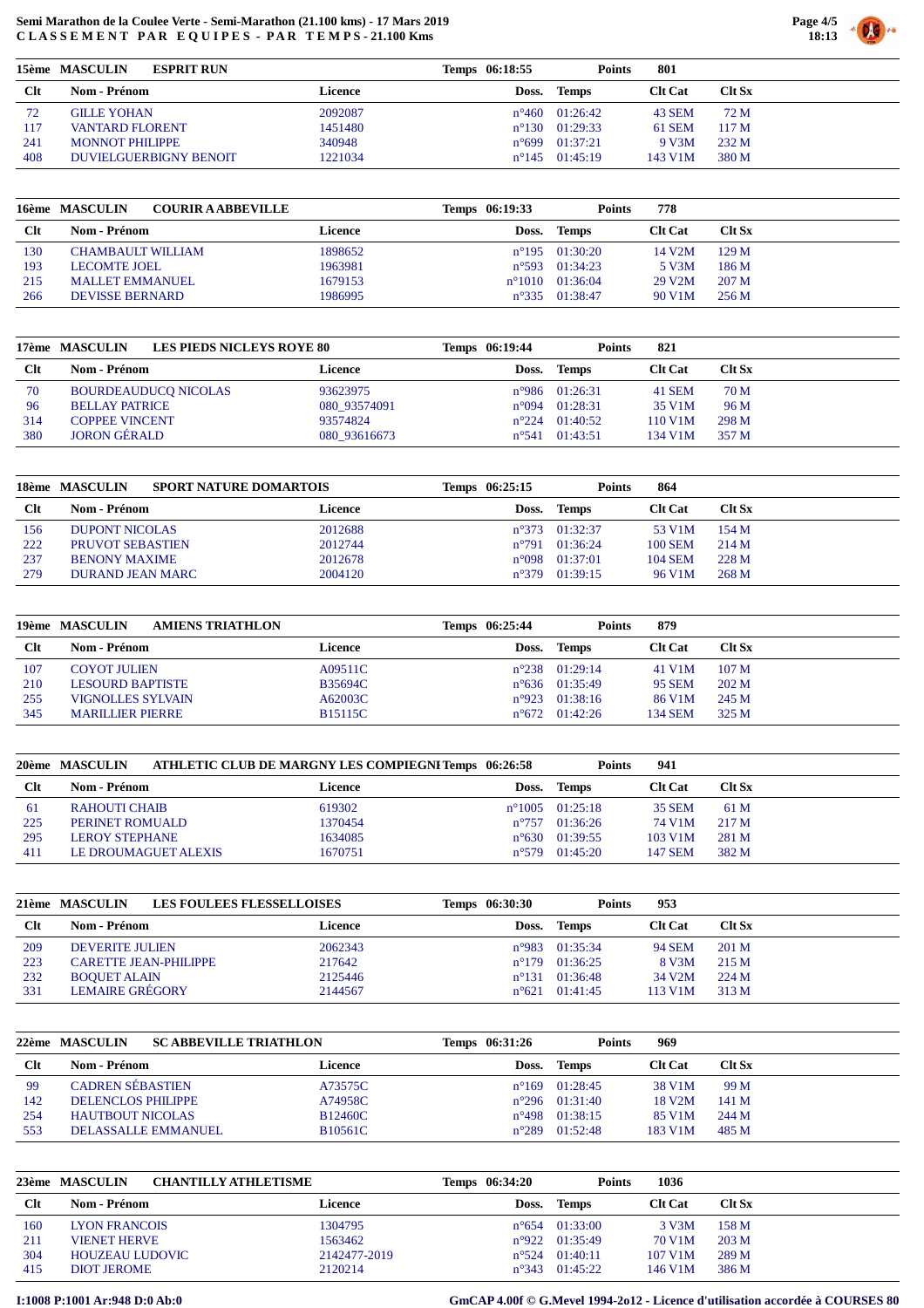

|            | 15ème MASCULIN<br><b>ESPRIT RUN</b> |         | Temps 06:18:55 | <b>Points</b>           | 801            |                  |
|------------|-------------------------------------|---------|----------------|-------------------------|----------------|------------------|
| <b>Clt</b> | Nom - Prénom                        | Licence | Doss.          | <b>Temps</b>            | <b>Clt Cat</b> | <b>Clt Sx</b>    |
| 72         | <b>GILLE YOHAN</b>                  | 2092087 | $n^{\circ}460$ | 01:26:42                | 43 SEM         | 72 M             |
| 117        | <b>VANTARD FLORENT</b>              | 1451480 | $n^{\circ}130$ | 01:29:33                | 61 SEM         | 117 <sub>M</sub> |
| 241        | <b>MONNOT PHILIPPE</b>              | 340948  | $n^{\circ}699$ | 01:37:21                | 9 V3M          | 232 M            |
| 408        | <b>DUVIELGUERBIGNY BENOIT</b>       | 1221034 |                | $n^{\circ}145$ 01:45:19 | 143 V1M        | 380 M            |

|            | 16ème MASCULIN<br><b>COURIR A ABBEVILLE</b> |         | Temps 06:19:33 | <b>Points</b>              | 778                 |                  |
|------------|---------------------------------------------|---------|----------------|----------------------------|---------------------|------------------|
| <b>Clt</b> | Nom - Prénom                                | Licence | Doss.          | Temps                      | <b>Clt Cat</b>      | <b>Clt Sx</b>    |
| 130        | <b>CHAMBAULT WILLIAM</b>                    | 1898652 |                | $n^{\circ}195$ 01:30:20    | 14 V2M              | 129 <sub>M</sub> |
| 193        | <b>LECOMTE JOEL</b>                         | 1963981 |                | $n^{\circ}593$ 01:34:23    | 5 V3M               | 186 M            |
| 215        | <b>MALLET EMMANUEL</b>                      | 1679153 |                | $n^{\circ}1010$ $01:36:04$ | 29 V <sub>2</sub> M | 207 <sub>M</sub> |
| 266        | <b>DEVISSE BERNARD</b>                      | 1986995 |                | $n^{\circ}335$ 01:38:47    | 90 V1M              | 256 M            |

|       | <b>LES PIEDS NICLEYS ROYE 80</b><br>17ème MASCULIN |              | Temps 06:19:44 | <b>Points</b>            | 821            |        |
|-------|----------------------------------------------------|--------------|----------------|--------------------------|----------------|--------|
| $Clt$ | <b>Nom - Prénom</b>                                | Licence      | Doss.          | <b>Temps</b>             | <b>Clt Cat</b> | Clt Sx |
| 70    | <b>BOURDEAUDUCO NICOLAS</b>                        | 93623975     |                | $n^{\circ}986$ 01:26:31  | 41 SEM         | 70 M   |
| 96    | <b>BELLAY PATRICE</b>                              | 080 93574091 |                | $n^{\circ}$ 094 01:28:31 | 35 V1M         | 96 M   |
| 314   | <b>COPPEE VINCENT</b>                              | 93574824     |                | $n^{\circ}224$ 01:40:52  | 110 V1M        | 298 M  |
| 380   | <b>JORON GÉRALD</b>                                | 080 93616673 |                | $n^{\circ}541$ 01:43:51  | 134 V1M        | 357 M  |

|            | <b>SPORT NATURE DOMARTOIS</b><br>18ème MASCULIN |         | Temps 06:25:15  | <b>Points</b>           | 864                 |               |
|------------|-------------------------------------------------|---------|-----------------|-------------------------|---------------------|---------------|
| <b>Clt</b> | Nom - Prénom                                    | Licence | Doss.           | <b>Temps</b>            | <b>Clt Cat</b>      | <b>Clt Sx</b> |
| 156        | DUPONT NICOLAS                                  | 2012688 |                 | $n^{\circ}373$ 01:32:37 | 53 V <sub>1</sub> M | 154M          |
| 222        | PRUVOT SEBASTIEN                                | 2012744 | $n^{\circ}791$  | 01:36:24                | <b>100 SEM</b>      | 214M          |
| 237        | <b>BENONY MAXIME</b>                            | 2012678 | $n^{\circ}$ 098 | 01:37:01                | <b>104 SEM</b>      | 228 M         |
| 279        | DURAND JEAN MARC                                | 2004120 | $n^{\circ}379$  | 01:39:15                | 96 V1M              | 268 M         |

|        | 19ème MASCULIN<br><b>AMIENS TRIATHLON</b> |                | Temps 06:25:44 | <b>Points</b>           | 879                 |                  |
|--------|-------------------------------------------|----------------|----------------|-------------------------|---------------------|------------------|
| $Cl$ t | Nom - Prénom                              | Licence        |                | Doss. Temps             | <b>Clt Cat</b>      | Clt Sx           |
| 107    | <b>COYOT JULIEN</b>                       | A09511C        |                | $n^{\circ}238$ 01:29:14 | 41 V <sub>1</sub> M | 107 <sub>M</sub> |
| 210    | LESOURD BAPTISTE                          | <b>B35694C</b> |                | $n^{\circ}636$ 01:35:49 | <b>95 SEM</b>       | 202 M            |
| 255    | <b>VIGNOLLES SYLVAIN</b>                  | A62003C        |                | $n^{\circ}923$ 01:38:16 | 86 V1M              | 245 M            |
| 345    | <b>MARILLIER PIERRE</b>                   | <b>B15115C</b> |                | $n^{\circ}672$ 01:42:26 | 134 SEM             | 325 M            |

|        | 20ème MASCULIN        | <b>ATHLETIC CLUB DE MARGNY LES COMPIEGNI Temps 06:26:58</b> |                | <b>Points</b>            | 941            |               |
|--------|-----------------------|-------------------------------------------------------------|----------------|--------------------------|----------------|---------------|
| $Cl$ t | Nom - Prénom          | Licence                                                     |                | Doss. Temps              | <b>Clt Cat</b> | <b>Clt Sx</b> |
| -61    | <b>RAHOUTI CHAIB</b>  | 619302                                                      |                | $n^{\circ}1005$ 01:25:18 | 35 SEM         | 61 M          |
| 225    | PERINET ROMUALD       | 1370454                                                     | $n^{\circ}757$ | 01:36:26                 | 74 V1M         | 217 M         |
| 295    | <b>LEROY STEPHANE</b> | 1634085                                                     | $n^{\circ}630$ | 01:39:55                 | 103 V1M        | 281 M         |
| 411    | LE DROUMAGUET ALEXIS  | 1670751                                                     | $n^{\circ}579$ | 01:45:20                 | 147 SEM        | 382 M         |

|        | <b>LES FOULEES FLESSELLOISES</b><br>21ème MASCULIN |         | Temps 06:30:30 | <b>Points</b>           | 953            |               |
|--------|----------------------------------------------------|---------|----------------|-------------------------|----------------|---------------|
| $Cl$ t | Nom - Prénom                                       | Licence | Doss.          | Temps                   | <b>Clt Cat</b> | <b>Clt Sx</b> |
| 209    | DEVERITE JULIEN                                    | 2062343 |                | $n^{\circ}983$ 01:35:34 | 94 SEM         | 201 M         |
| 223    | <b>CARETTE JEAN-PHILIPPE</b>                       | 217642  |                | $n^{\circ}179$ 01:36:25 | 8 V3M          | 215 M         |
| 232    | <b>BOOUET ALAIN</b>                                | 2125446 | $n^{\circ}131$ | 01:36:48                | 34 V2M         | 224M          |
| 331    | <b>LEMAIRE GRÉGORY</b>                             | 2144567 |                | $n^{\circ}621$ 01:41:45 | 113 V1M        | 313 M         |

|        | <b>SC ABBEVILLE TRIATHLON</b><br>22ème MASCULIN |                | Temps 06:31:26 | <b>Points</b>           | 969                 |           |
|--------|-------------------------------------------------|----------------|----------------|-------------------------|---------------------|-----------|
| $Cl$ t | Nom - Prénom                                    | Licence        |                | Doss. Temps             | <b>Clt Cat</b>      | $C$ It Sx |
| -99    | <b>CADREN SÉBASTIEN</b>                         | A73575C        |                | $n^{\circ}169$ 01:28:45 | 38 V1M              | 99 M      |
| 142    | <b>DELENCLOS PHILIPPE</b>                       | A74958C        |                | $n^{\circ}296$ 01:31:40 | 18 V <sub>2</sub> M | 141M      |
| 254    | <b>HAUTBOUT NICOLAS</b>                         | B12460C        | $n^{\circ}498$ | 01:38:15                | 85 V1M              | 244 M     |
| 553    | DELASSALLE EMMANUEL                             | <b>B10561C</b> | $n^{\circ}289$ | 01:52:48                | 183 V1M             | 485 M     |

|        | 23ème MASCULIN<br><b>CHANTILLY ATHLETISME</b> |              | Temps 06:34:20 | <b>Points</b>           | 1036           |               |
|--------|-----------------------------------------------|--------------|----------------|-------------------------|----------------|---------------|
| $Cl$ t | <b>Nom - Prénom</b>                           | Licence      | Doss.          | Temps                   | <b>Clt Cat</b> | <b>Clt Sx</b> |
| 160    | <b>LYON FRANCOIS</b>                          | 1304795      |                | $n^{\circ}654$ 01:33:00 | 3 V3M          | 158 M         |
| 211    | <b>VIENET HERVE</b>                           | 1563462      |                | $n^{\circ}922$ 01:35:49 | 70 V1M         | 203 M         |
| 304    | <b>HOUZEAU LUDOVIC</b>                        | 2142477-2019 |                | $n^{\circ}524$ 01:40:11 | 107 V1M        | 289 M         |
| 415    | <b>DIOT JEROME</b>                            | 2120214      |                | $n^{\circ}343$ 01:45:22 | 146 V1M        | 386 M         |